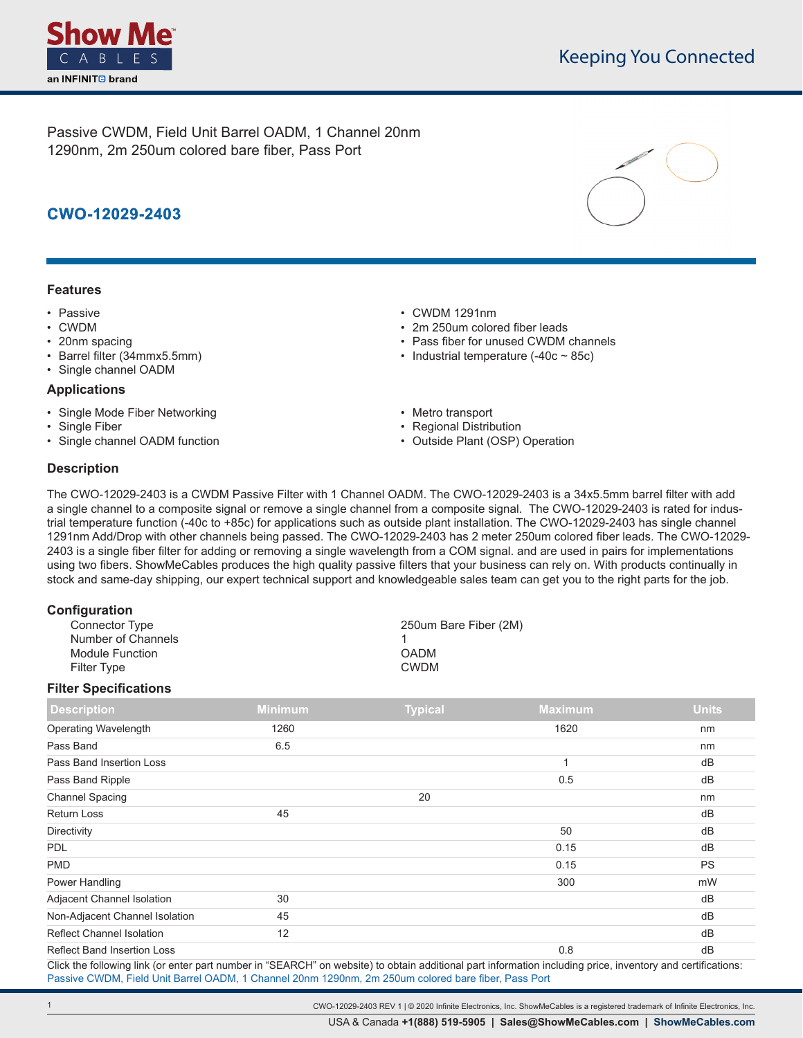

Passive CWDM, Field Unit Barrel OADM, 1 Channel 20nm 1290nm, 2m 250um colored bare fiber, Pass Port

# **CWO-12029-2403**

#### **Features**

- Passive
- CWDM
- 20nm spacing
- Barrel filter (34mmx5.5mm)
- Single channel OADM

#### **Applications**

- Single Mode Fiber Networking
- Single Fiber
- Single channel OADM function
- CWDM 1291nm
- 2m 250um colored fiber leads
- Pass fiber for unused CWDM channels
- Industrial temperature  $(-40c 85c)$
- Metro transport
- Regional Distribution
- Outside Plant (OSP) Operation

## **Description**

The CWO-12029-2403 is a CWDM Passive Filter with 1 Channel OADM. The CWO-12029-2403 is a 34x5.5mm barrel filter with add a single channel to a composite signal or remove a single channel from a composite signal. The CWO-12029-2403 is rated for industrial temperature function (-40c to +85c) for applications such as outside plant installation. The CWO-12029-2403 has single channel 1291nm Add/Drop with other channels being passed. The CWO-12029-2403 has 2 meter 250um colored fiber leads. The CWO-12029- 2403 is a single fiber filter for adding or removing a single wavelength from a COM signal. and are used in pairs for implementations using two fibers. ShowMeCables produces the high quality passive filters that your business can rely on. With products continually in stock and same-day shipping, our expert technical support and knowledgeable sales team can get you to the right parts for the job.

| 250um Bare Fiber (2M) |
|-----------------------|
|                       |
|                       |
|                       |
|                       |

#### **Filter Specifications**

| <b>Description</b>                 | <b>Minimum</b> | <b>Typical</b> | <b>Maximum</b>           | <b>Units</b> |
|------------------------------------|----------------|----------------|--------------------------|--------------|
| <b>Operating Wavelength</b>        | 1260           |                | 1620                     | nm           |
| Pass Band                          | 6.5            |                |                          | nm           |
| Pass Band Insertion Loss           |                |                | $\overline{\phantom{a}}$ | dB           |
| Pass Band Ripple                   |                |                | 0.5                      | dB           |
| <b>Channel Spacing</b>             |                | 20             |                          | nm           |
| <b>Return Loss</b>                 | 45             |                |                          | dB           |
| Directivity                        |                |                | 50                       | dB           |
| <b>PDL</b>                         |                |                | 0.15                     | dB           |
| <b>PMD</b>                         |                |                | 0.15                     | <b>PS</b>    |
| Power Handling                     |                |                | 300                      | mW           |
| Adjacent Channel Isolation         | 30             |                |                          | dB           |
| Non-Adjacent Channel Isolation     | 45             |                |                          | dB           |
| <b>Reflect Channel Isolation</b>   | 12             |                |                          | dB           |
| <b>Reflect Band Insertion Loss</b> |                |                | 0.8                      | dB           |

Click the following link (or enter part number in "SEARCH" on website) to obtain additional part information including price, inventory and certifications: [Passive CWDM, Field Unit Barrel OADM, 1 Channel 20nm 1290nm, 2m 250um colored bare fiber, Pass Port](https://www.showmecables.com/No-URL-Convention-Found-for-?CWO-12029-2403-p.aspx)

CWO-12029-2403 REV 1 | © 2020 Infinite Electronics, Inc. ShowMeCables is a registered trademark of Infinite Electronics, Inc.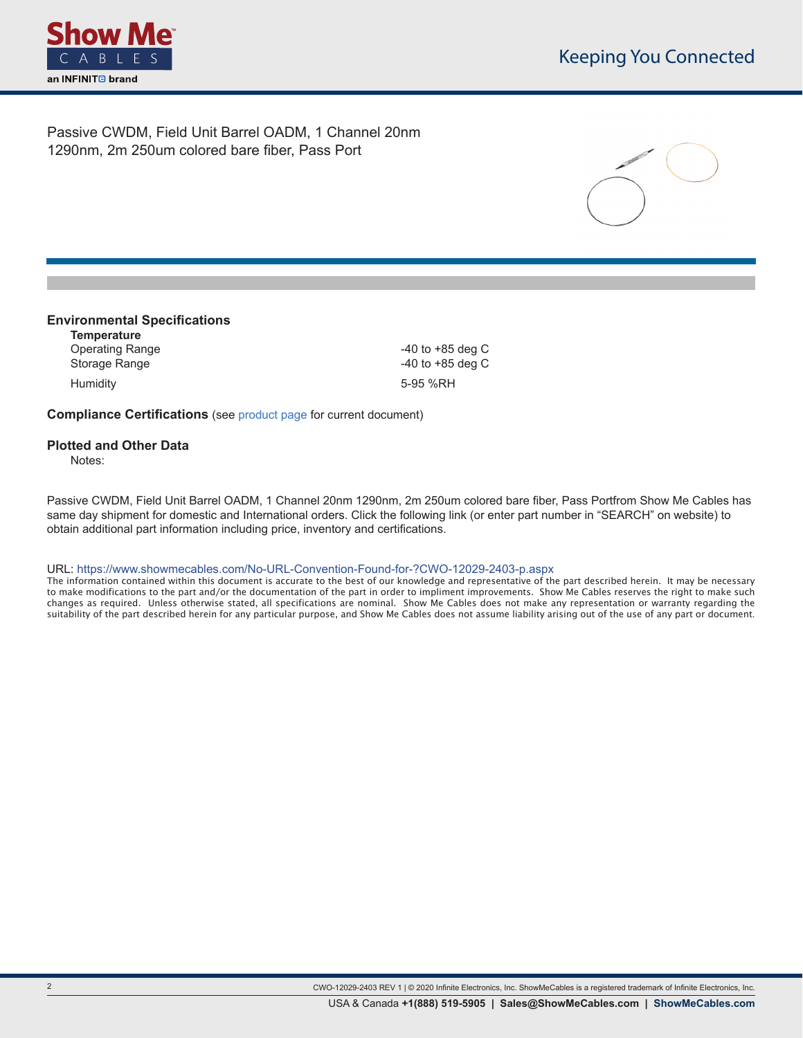

Passive CWDM, Field Unit Barrel OADM, 1 Channel 20nm 1290nm, 2m 250um colored bare fiber, Pass Port



#### **Environmental Specifications**

**Temperature** Operating Range **-40** to +85 deg C Storage Range **CONFINGUIST** 2008 2012 12:00:00 12:00:00 140 to +85 deg C Humidity 5-95 %RH

**Compliance Certifications** (see [product page](https://www.showmecables.com/No-URL-Convention-Found-for-?CWO-12029-2403-p.aspx) for current document)

### **Plotted and Other Data**

Notes:

**.**

Passive CWDM, Field Unit Barrel OADM, 1 Channel 20nm 1290nm, 2m 250um colored bare fiber, Pass Portfrom Show Me Cables has same day shipment for domestic and International orders. Click the following link (or enter part number in "SEARCH" on website) to obtain additional part information including price, inventory and certifications.

URL: https://www.showmecables.com/No-URL-Convention-Found-for-?CWO-12029-2403-p.aspx

The information contained within this document is accurate to the best of our knowledge and representative of the part described herein. It may be necessary to make modifications to the part and/or the documentation of the part in order to impliment improvements. Show Me Cables reserves the right to make such changes as required. Unless otherwise stated, all specifications are nominal. Show Me Cables does not make any representation or warranty regarding the suitability of the part described herein for any particular purpose, and Show Me Cables does not assume liability arising out of the use of any part or document.